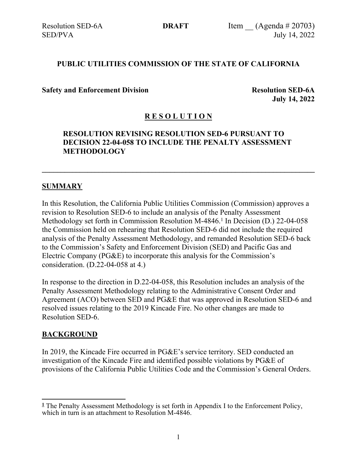#### **PUBLIC UTILITIES COMMISSION OF THE STATE OF CALIFORNIA**

**Safety and Enforcement Division Resolution SED-6A**

**July 14, 2022**

## **R E S O L U T I O N**

#### **RESOLUTION REVISING RESOLUTION SED-6 PURSUANT TO DECISION 22-04-058 TO INCLUDE THE PENALTY ASSESSMENT METHODOLOGY**

**\_\_\_\_\_\_\_\_\_\_\_\_\_\_\_\_\_\_\_\_\_\_\_\_\_\_\_\_\_\_\_\_\_\_\_\_\_\_\_\_\_\_\_\_\_\_\_\_\_\_\_\_\_\_\_\_\_\_\_\_\_\_\_\_\_\_\_\_\_\_\_\_**

#### **SUMMARY**

In this Resolution, the California Public Utilities Commission (Commission) approves a revision to Resolution SED-6 to include an analysis of the Penalty Assessment Methodology set forth in Commission Resolution M-4846.<sup>1</sup> In Decision (D.) 22-04-058 the Commission held on rehearing that Resolution SED-6 did not include the required analysis of the Penalty Assessment Methodology, and remanded Resolution SED-6 back to the Commission's Safety and Enforcement Division (SED) and Pacific Gas and Electric Company (PG&E) to incorporate this analysis for the Commission's consideration. (D.22-04-058 at 4.)

In response to the direction in D.22-04-058, this Resolution includes an analysis of the Penalty Assessment Methodology relating to the Administrative Consent Order and Agreement (ACO) between SED and PG&E that was approved in Resolution SED-6 and resolved issues relating to the 2019 Kincade Fire. No other changes are made to Resolution SED-6.

#### **BACKGROUND**

In 2019, the Kincade Fire occurred in PG&E's service territory. SED conducted an investigation of the Kincade Fire and identified possible violations by PG&E of provisions of the California Public Utilities Code and the Commission's General Orders.

**<sup>1</sup>** The Penalty Assessment Methodology is set forth in Appendix I to the Enforcement Policy, which in turn is an attachment to Resolution M-4846.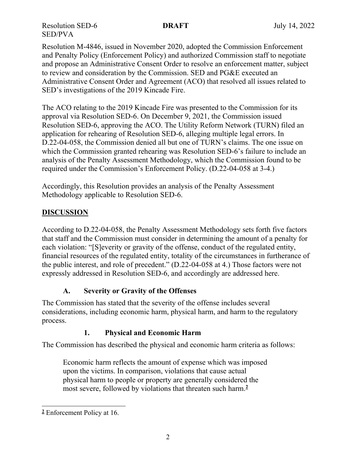Resolution M-4846, issued in November 2020, adopted the Commission Enforcement and Penalty Policy (Enforcement Policy) and authorized Commission staff to negotiate and propose an Administrative Consent Order to resolve an enforcement matter, subject to review and consideration by the Commission. SED and PG&E executed an Administrative Consent Order and Agreement (ACO) that resolved all issues related to SED's investigations of the 2019 Kincade Fire.

The ACO relating to the 2019 Kincade Fire was presented to the Commission for its approval via Resolution SED-6. On December 9, 2021, the Commission issued Resolution SED-6, approving the ACO. The Utility Reform Network (TURN) filed an application for rehearing of Resolution SED-6, alleging multiple legal errors. In D.22-04-058, the Commission denied all but one of TURN's claims. The one issue on which the Commission granted rehearing was Resolution SED-6's failure to include an analysis of the Penalty Assessment Methodology, which the Commission found to be required under the Commission's Enforcement Policy. (D.22-04-058 at 3-4.)

Accordingly, this Resolution provides an analysis of the Penalty Assessment Methodology applicable to Resolution SED-6.

## **DISCUSSION**

According to D.22-04-058, the Penalty Assessment Methodology sets forth five factors that staff and the Commission must consider in determining the amount of a penalty for each violation: "[S]everity or gravity of the offense, conduct of the regulated entity, financial resources of the regulated entity, totality of the circumstances in furtherance of the public interest, and role of precedent." (D.22-04-058 at 4.) Those factors were not expressly addressed in Resolution SED-6, and accordingly are addressed here.

## **A. Severity or Gravity of the Offenses**

The Commission has stated that the severity of the offense includes several considerations, including economic harm, physical harm, and harm to the regulatory process.

# **1. Physical and Economic Harm**

The Commission has described the physical and economic harm criteria as follows:

Economic harm reflects the amount of expense which was imposed upon the victims. In comparison, violations that cause actual physical harm to people or property are generally considered the most severe, followed by violations that threaten such harm.**<sup>2</sup>**

**<sup>2</sup>** Enforcement Policy at 16.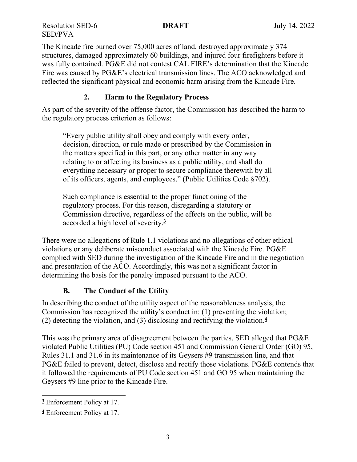The Kincade fire burned over 75,000 acres of land, destroyed approximately 374 structures, damaged approximately 60 buildings, and injured four firefighters before it was fully contained. PG&E did not contest CAL FIRE's determination that the Kincade Fire was caused by PG&E's electrical transmission lines. The ACO acknowledged and reflected the significant physical and economic harm arising from the Kincade Fire.

# **2. Harm to the Regulatory Process**

As part of the severity of the offense factor, the Commission has described the harm to the regulatory process criterion as follows:

"Every public utility shall obey and comply with every order, decision, direction, or rule made or prescribed by the Commission in the matters specified in this part, or any other matter in any way relating to or affecting its business as a public utility, and shall do everything necessary or proper to secure compliance therewith by all of its officers, agents, and employees." (Public Utilities Code §702).

Such compliance is essential to the proper functioning of the regulatory process. For this reason, disregarding a statutory or Commission directive, regardless of the effects on the public, will be accorded a high level of severity.**<sup>3</sup>**

There were no allegations of Rule 1.1 violations and no allegations of other ethical violations or any deliberate misconduct associated with the Kincade Fire. PG&E complied with SED during the investigation of the Kincade Fire and in the negotiation and presentation of the ACO. Accordingly, this was not a significant factor in determining the basis for the penalty imposed pursuant to the ACO.

# **B. The Conduct of the Utility**

In describing the conduct of the utility aspect of the reasonableness analysis, the Commission has recognized the utility's conduct in: (1) preventing the violation; (2) detecting the violation, and (3) disclosing and rectifying the violation.**<sup>4</sup>**

This was the primary area of disagreement between the parties. SED alleged that PG&E violated Public Utilities (PU) Code section 451 and Commission General Order (GO) 95, Rules 31.1 and 31.6 in its maintenance of its Geysers #9 transmission line, and that PG&E failed to prevent, detect, disclose and rectify those violations. PG&E contends that it followed the requirements of PU Code section 451 and GO 95 when maintaining the Geysers #9 line prior to the Kincade Fire.

**<sup>3</sup>** Enforcement Policy at 17.

**<sup>4</sup>** Enforcement Policy at 17.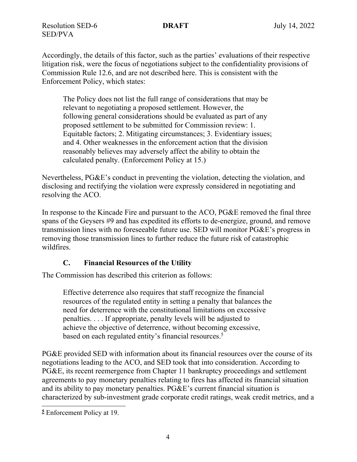Accordingly, the details of this factor, such as the parties' evaluations of their respective litigation risk, were the focus of negotiations subject to the confidentiality provisions of Commission Rule 12.6, and are not described here. This is consistent with the Enforcement Policy, which states:

The Policy does not list the full range of considerations that may be relevant to negotiating a proposed settlement. However, the following general considerations should be evaluated as part of any proposed settlement to be submitted for Commission review: 1. Equitable factors; 2. Mitigating circumstances; 3. Evidentiary issues; and 4. Other weaknesses in the enforcement action that the division reasonably believes may adversely affect the ability to obtain the calculated penalty. (Enforcement Policy at 15.)

Nevertheless, PG&E's conduct in preventing the violation, detecting the violation, and disclosing and rectifying the violation were expressly considered in negotiating and resolving the ACO.

In response to the Kincade Fire and pursuant to the ACO, PG&E removed the final three spans of the Geysers #9 and has expedited its efforts to de-energize, ground, and remove transmission lines with no foreseeable future use. SED will monitor PG&E's progress in removing those transmission lines to further reduce the future risk of catastrophic wildfires.

## **C. Financial Resources of the Utility**

The Commission has described this criterion as follows:

Effective deterrence also requires that staff recognize the financial resources of the regulated entity in setting a penalty that balances the need for deterrence with the constitutional limitations on excessive penalties. . . . If appropriate, penalty levels will be adjusted to achieve the objective of deterrence, without becoming excessive, based on each regulated entity's financial resources.<sup>5</sup>

PG&E provided SED with information about its financial resources over the course of its negotiations leading to the ACO, and SED took that into consideration. According to PG&E, its recent reemergence from Chapter 11 bankruptcy proceedings and settlement agreements to pay monetary penalties relating to fires has affected its financial situation and its ability to pay monetary penalties. PG&E's current financial situation is characterized by sub-investment grade corporate credit ratings, weak credit metrics, and a

**<sup>5</sup>** Enforcement Policy at 19.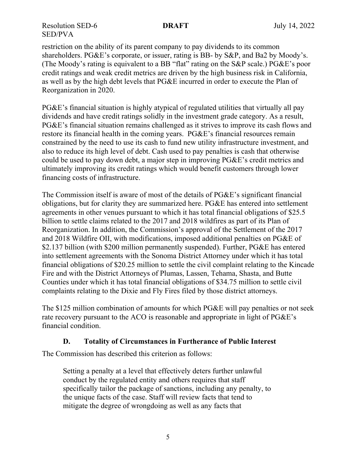restriction on the ability of its parent company to pay dividends to its common shareholders. PG&E's corporate, or issuer, rating is BB- by S&P, and Ba2 by Moody's. (The Moody's rating is equivalent to a BB "flat" rating on the S&P scale.) PG&E's poor credit ratings and weak credit metrics are driven by the high business risk in California, as well as by the high debt levels that PG&E incurred in order to execute the Plan of Reorganization in 2020.

PG&E's financial situation is highly atypical of regulated utilities that virtually all pay dividends and have credit ratings solidly in the investment grade category. As a result, PG&E's financial situation remains challenged as it strives to improve its cash flows and restore its financial health in the coming years. PG&E's financial resources remain constrained by the need to use its cash to fund new utility infrastructure investment, and also to reduce its high level of debt. Cash used to pay penalties is cash that otherwise could be used to pay down debt, a major step in improving PG&E's credit metrics and ultimately improving its credit ratings which would benefit customers through lower financing costs of infrastructure.

The Commission itself is aware of most of the details of PG&E's significant financial obligations, but for clarity they are summarized here. PG&E has entered into settlement agreements in other venues pursuant to which it has total financial obligations of \$25.5 billion to settle claims related to the 2017 and 2018 wildfires as part of its Plan of Reorganization. In addition, the Commission's approval of the Settlement of the 2017 and 2018 Wildfire OII, with modifications, imposed additional penalties on PG&E of \$2.137 billion (with \$200 million permanently suspended). Further, PG&E has entered into settlement agreements with the Sonoma District Attorney under which it has total financial obligations of \$20.25 million to settle the civil complaint relating to the Kincade Fire and with the District Attorneys of Plumas, Lassen, Tehama, Shasta, and Butte Counties under which it has total financial obligations of \$34.75 million to settle civil complaints relating to the Dixie and Fly Fires filed by those district attorneys.

The \$125 million combination of amounts for which PG&E will pay penalties or not seek rate recovery pursuant to the ACO is reasonable and appropriate in light of PG&E's financial condition.

### **D. Totality of Circumstances in Furtherance of Public Interest**

The Commission has described this criterion as follows:

Setting a penalty at a level that effectively deters further unlawful conduct by the regulated entity and others requires that staff specifically tailor the package of sanctions, including any penalty, to the unique facts of the case. Staff will review facts that tend to mitigate the degree of wrongdoing as well as any facts that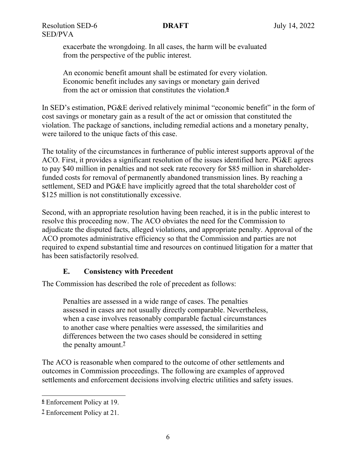exacerbate the wrongdoing. In all cases, the harm will be evaluated from the perspective of the public interest.

An economic benefit amount shall be estimated for every violation. Economic benefit includes any savings or monetary gain derived from the act or omission that constitutes the violation.**<sup>6</sup>**

In SED's estimation, PG&E derived relatively minimal "economic benefit" in the form of cost savings or monetary gain as a result of the act or omission that constituted the violation. The package of sanctions, including remedial actions and a monetary penalty, were tailored to the unique facts of this case.

The totality of the circumstances in furtherance of public interest supports approval of the ACO. First, it provides a significant resolution of the issues identified here. PG&E agrees to pay \$40 million in penalties and not seek rate recovery for \$85 million in shareholderfunded costs for removal of permanently abandoned transmission lines. By reaching a settlement, SED and PG&E have implicitly agreed that the total shareholder cost of \$125 million is not constitutionally excessive.

Second, with an appropriate resolution having been reached, it is in the public interest to resolve this proceeding now. The ACO obviates the need for the Commission to adjudicate the disputed facts, alleged violations, and appropriate penalty. Approval of the ACO promotes administrative efficiency so that the Commission and parties are not required to expend substantial time and resources on continued litigation for a matter that has been satisfactorily resolved.

### **E. Consistency with Precedent**

The Commission has described the role of precedent as follows:

Penalties are assessed in a wide range of cases. The penalties assessed in cases are not usually directly comparable. Nevertheless, when a case involves reasonably comparable factual circumstances to another case where penalties were assessed, the similarities and differences between the two cases should be considered in setting the penalty amount.**<sup>7</sup>**

The ACO is reasonable when compared to the outcome of other settlements and outcomes in Commission proceedings. The following are examples of approved settlements and enforcement decisions involving electric utilities and safety issues.

**<sup>6</sup>** Enforcement Policy at 19.

**<sup>7</sup>** Enforcement Policy at 21.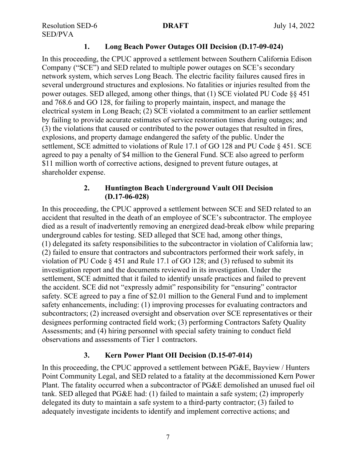### **1. Long Beach Power Outages OII Decision (D.17-09-024)**

In this proceeding, the CPUC approved a settlement between Southern California Edison Company ("SCE") and SED related to multiple power outages on SCE's secondary network system, which serves Long Beach. The electric facility failures caused fires in several underground structures and explosions. No fatalities or injuries resulted from the power outages. SED alleged, among other things, that (1) SCE violated PU Code §§ 451 and 768.6 and GO 128, for failing to properly maintain, inspect, and manage the electrical system in Long Beach; (2) SCE violated a commitment to an earlier settlement by failing to provide accurate estimates of service restoration times during outages; and (3) the violations that caused or contributed to the power outages that resulted in fires, explosions, and property damage endangered the safety of the public. Under the settlement, SCE admitted to violations of Rule 17.1 of GO 128 and PU Code § 451. SCE agreed to pay a penalty of \$4 million to the General Fund. SCE also agreed to perform \$11 million worth of corrective actions, designed to prevent future outages, at shareholder expense.

### **2. Huntington Beach Underground Vault OII Decision (D.17-06-028)**

In this proceeding, the CPUC approved a settlement between SCE and SED related to an accident that resulted in the death of an employee of SCE's subcontractor. The employee died as a result of inadvertently removing an energized dead-break elbow while preparing underground cables for testing. SED alleged that SCE had, among other things, (1) delegated its safety responsibilities to the subcontractor in violation of California law; (2) failed to ensure that contractors and subcontractors performed their work safely, in violation of PU Code § 451 and Rule 17.1 of GO 128; and (3) refused to submit its investigation report and the documents reviewed in its investigation. Under the settlement, SCE admitted that it failed to identify unsafe practices and failed to prevent the accident. SCE did not "expressly admit" responsibility for "ensuring" contractor safety. SCE agreed to pay a fine of \$2.01 million to the General Fund and to implement safety enhancements, including: (1) improving processes for evaluating contractors and subcontractors; (2) increased oversight and observation over SCE representatives or their designees performing contracted field work; (3) performing Contractors Safety Quality Assessments; and (4) hiring personnel with special safety training to conduct field observations and assessments of Tier 1 contractors.

## **3. Kern Power Plant OII Decision (D.15-07-014)**

In this proceeding, the CPUC approved a settlement between PG&E, Bayview / Hunters Point Community Legal, and SED related to a fatality at the decommissioned Kern Power Plant. The fatality occurred when a subcontractor of PG&E demolished an unused fuel oil tank. SED alleged that PG&E had: (1) failed to maintain a safe system; (2) improperly delegated its duty to maintain a safe system to a third-party contractor; (3) failed to adequately investigate incidents to identify and implement corrective actions; and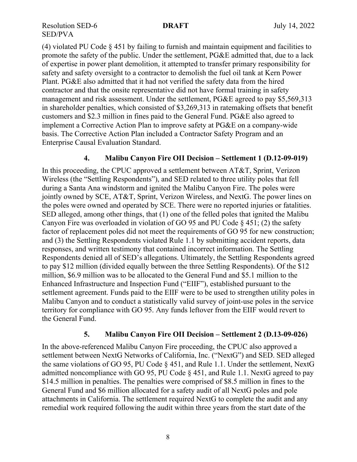(4) violated PU Code § 451 by failing to furnish and maintain equipment and facilities to promote the safety of the public. Under the settlement, PG&E admitted that, due to a lack of expertise in power plant demolition, it attempted to transfer primary responsibility for safety and safety oversight to a contractor to demolish the fuel oil tank at Kern Power Plant. PG&E also admitted that it had not verified the safety data from the hired contractor and that the onsite representative did not have formal training in safety management and risk assessment. Under the settlement, PG&E agreed to pay \$5,569,313 in shareholder penalties, which consisted of \$3,269,313 in ratemaking offsets that benefit customers and \$2.3 million in fines paid to the General Fund. PG&E also agreed to implement a Corrective Action Plan to improve safety at PG&E on a company-wide basis. The Corrective Action Plan included a Contractor Safety Program and an Enterprise Causal Evaluation Standard.

#### **4. Malibu Canyon Fire OII Decision – Settlement 1 (D.12-09-019)**

In this proceeding, the CPUC approved a settlement between AT&T, Sprint, Verizon Wireless (the "Settling Respondents"), and SED related to three utility poles that fell during a Santa Ana windstorm and ignited the Malibu Canyon Fire. The poles were jointly owned by SCE, AT&T, Sprint, Verizon Wireless, and NextG. The power lines on the poles were owned and operated by SCE. There were no reported injuries or fatalities. SED alleged, among other things, that (1) one of the felled poles that ignited the Malibu Canyon Fire was overloaded in violation of GO 95 and PU Code § 451; (2) the safety factor of replacement poles did not meet the requirements of GO 95 for new construction; and (3) the Settling Respondents violated Rule 1.1 by submitting accident reports, data responses, and written testimony that contained incorrect information. The Settling Respondents denied all of SED's allegations. Ultimately, the Settling Respondents agreed to pay \$12 million (divided equally between the three Settling Respondents). Of the \$12 million, \$6.9 million was to be allocated to the General Fund and \$5.1 million to the Enhanced Infrastructure and Inspection Fund ("EIIF"), established pursuant to the settlement agreement. Funds paid to the EIIF were to be used to strengthen utility poles in Malibu Canyon and to conduct a statistically valid survey of joint-use poles in the service territory for compliance with GO 95. Any funds leftover from the EIIF would revert to the General Fund.

#### **5. Malibu Canyon Fire OII Decision – Settlement 2 (D.13-09-026)**

In the above-referenced Malibu Canyon Fire proceeding, the CPUC also approved a settlement between NextG Networks of California, Inc. ("NextG") and SED. SED alleged the same violations of GO 95, PU Code § 451, and Rule 1.1. Under the settlement, NextG admitted noncompliance with GO 95, PU Code § 451, and Rule 1.1. NextG agreed to pay \$14.5 million in penalties. The penalties were comprised of \$8.5 million in fines to the General Fund and \$6 million allocated for a safety audit of all NextG poles and pole attachments in California. The settlement required NextG to complete the audit and any remedial work required following the audit within three years from the start date of the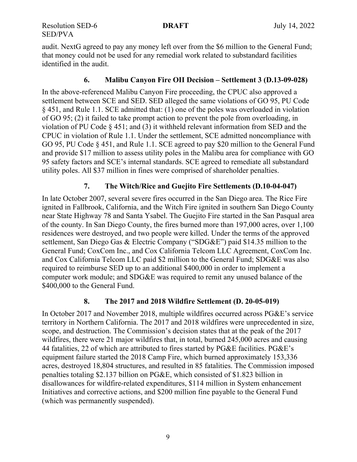audit. NextG agreed to pay any money left over from the \$6 million to the General Fund; that money could not be used for any remedial work related to substandard facilities identified in the audit.

# **6. Malibu Canyon Fire OII Decision – Settlement 3 (D.13-09-028)**

In the above-referenced Malibu Canyon Fire proceeding, the CPUC also approved a settlement between SCE and SED. SED alleged the same violations of GO 95, PU Code § 451, and Rule 1.1. SCE admitted that: (1) one of the poles was overloaded in violation of GO 95; (2) it failed to take prompt action to prevent the pole from overloading, in violation of PU Code § 451; and (3) it withheld relevant information from SED and the CPUC in violation of Rule 1.1. Under the settlement, SCE admitted noncompliance with GO 95, PU Code § 451, and Rule 1.1. SCE agreed to pay \$20 million to the General Fund and provide \$17 million to assess utility poles in the Malibu area for compliance with GO 95 safety factors and SCE's internal standards. SCE agreed to remediate all substandard utility poles. All \$37 million in fines were comprised of shareholder penalties.

# **7. The Witch/Rice and Guejito Fire Settlements (D.10-04-047)**

In late October 2007, several severe fires occurred in the San Diego area. The Rice Fire ignited in Fallbrook, California, and the Witch Fire ignited in southern San Diego County near State Highway 78 and Santa Ysabel. The Guejito Fire started in the San Pasqual area of the county. In San Diego County, the fires burned more than 197,000 acres, over 1,100 residences were destroyed, and two people were killed. Under the terms of the approved settlement, San Diego Gas & Electric Company ("SDG&E") paid \$14.35 million to the General Fund; CoxCom Inc., and Cox California Telcom LLC Agreement, CoxCom Inc. and Cox California Telcom LLC paid \$2 million to the General Fund; SDG&E was also required to reimburse SED up to an additional \$400,000 in order to implement a computer work module; and SDG&E was required to remit any unused balance of the \$400,000 to the General Fund.

# **8. The 2017 and 2018 Wildfire Settlement (D. 20-05-019)**

In October 2017 and November 2018, multiple wildfires occurred across PG&E's service territory in Northern California. The 2017 and 2018 wildfires were unprecedented in size, scope, and destruction. The Commission's decision states that at the peak of the 2017 wildfires, there were 21 major wildfires that, in total, burned 245,000 acres and causing 44 fatalities, 22 of which are attributed to fires started by PG&E facilities. PG&E's equipment failure started the 2018 Camp Fire, which burned approximately 153,336 acres, destroyed 18,804 structures, and resulted in 85 fatalities. The Commission imposed penalties totaling \$2.137 billion on PG&E, which consisted of \$1.823 billion in disallowances for wildfire-related expenditures, \$114 million in System enhancement Initiatives and corrective actions, and \$200 million fine payable to the General Fund (which was permanently suspended).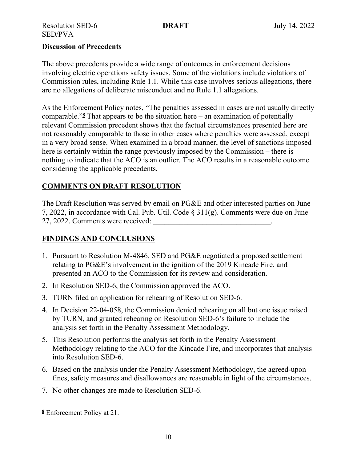### **Discussion of Precedents**

The above precedents provide a wide range of outcomes in enforcement decisions involving electric operations safety issues. Some of the violations include violations of Commission rules, including Rule 1.1. While this case involves serious allegations, there are no allegations of deliberate misconduct and no Rule 1.1 allegations.

As the Enforcement Policy notes, "The penalties assessed in cases are not usually directly comparable."**<sup>8</sup>** That appears to be the situation here – an examination of potentially relevant Commission precedent shows that the factual circumstances presented here are not reasonably comparable to those in other cases where penalties were assessed, except in a very broad sense. When examined in a broad manner, the level of sanctions imposed here is certainly within the range previously imposed by the Commission – there is nothing to indicate that the ACO is an outlier. The ACO results in a reasonable outcome considering the applicable precedents.

## **COMMENTS ON DRAFT RESOLUTION**

The Draft Resolution was served by email on PG&E and other interested parties on June 7, 2022, in accordance with Cal. Pub. Util. Code § 311(g). Comments were due on June 27, 2022. Comments were received:

# **FINDINGS AND CONCLUSIONS**

- 1. Pursuant to Resolution M-4846, SED and PG&E negotiated a proposed settlement relating to PG&E's involvement in the ignition of the 2019 Kincade Fire, and presented an ACO to the Commission for its review and consideration.
- 2. In Resolution SED-6, the Commission approved the ACO.
- 3. TURN filed an application for rehearing of Resolution SED-6.
- 4. In Decision 22-04-058, the Commission denied rehearing on all but one issue raised by TURN, and granted rehearing on Resolution SED-6's failure to include the analysis set forth in the Penalty Assessment Methodology.
- 5. This Resolution performs the analysis set forth in the Penalty Assessment Methodology relating to the ACO for the Kincade Fire, and incorporates that analysis into Resolution SED-6.
- 6. Based on the analysis under the Penalty Assessment Methodology, the agreed-upon fines, safety measures and disallowances are reasonable in light of the circumstances.
- 7. No other changes are made to Resolution SED-6.

**<sup>8</sup>** Enforcement Policy at 21.